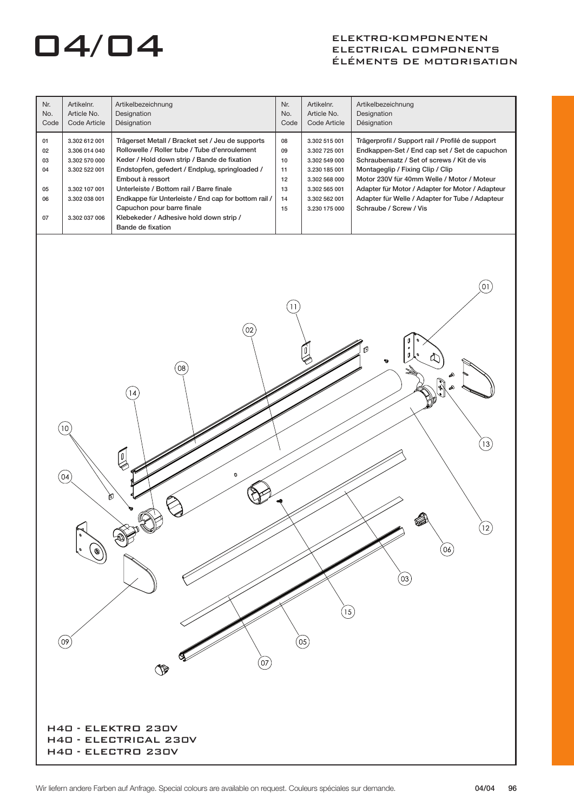## ELEKTRO-KOMPONENTEN<br>ELECTRICAL COMPONENT ELECTRICAL COMPONENTS ÉLÉMENTS DE MOTORISATION

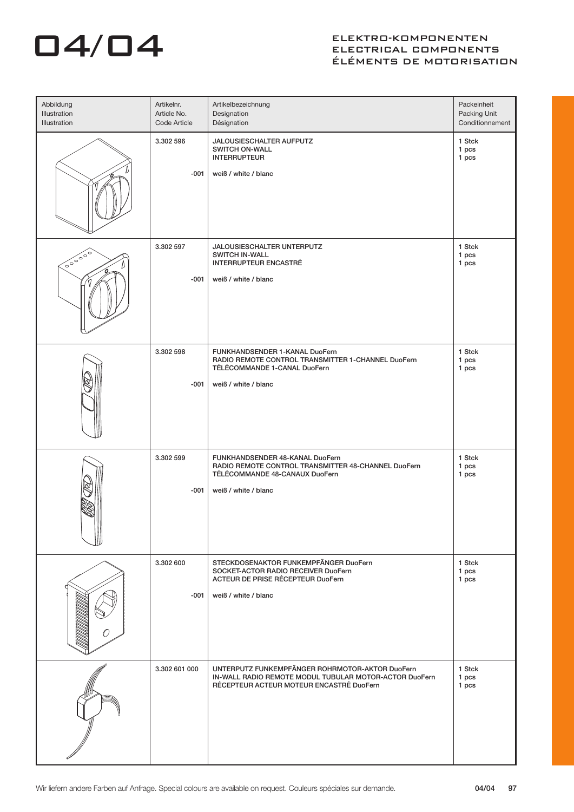# 04/04

## ELEKTRO-KOMPONENTEN ELECTRICAL COMPONENTS ÉLÉMENTS DE MOTORISATION

| Abbildung<br>Illustration<br>Illustration | Artikelnr.<br>Article No.<br>Code Article | Artikelbezeichnung<br>Designation<br>Désignation                                                                                                      | Packeinheit<br>Packing Unit<br>Conditionnement |
|-------------------------------------------|-------------------------------------------|-------------------------------------------------------------------------------------------------------------------------------------------------------|------------------------------------------------|
|                                           | 3.302 596<br>$-001$                       | JALOUSIESCHALTER AUFPUTZ<br><b>SWITCH ON-WALL</b><br><b>INTERRUPTEUR</b><br>weiß / white / blanc                                                      | 1 Stck<br>1 pcs<br>1 pcs                       |
| 000000                                    | 3.302 597<br>$-001$                       | JALOUSIESCHALTER UNTERPUTZ<br><b>SWITCH IN-WALL</b><br><b>INTERRUPTEUR ENCASTRÉ</b><br>weiß / white / blanc                                           | 1 Stck<br>1 pcs<br>1 pcs                       |
|                                           | 3.302 598<br>$-001$                       | FUNKHANDSENDER 1-KANAL DuoFern<br>RADIO REMOTE CONTROL TRANSMITTER 1-CHANNEL DuoFern<br>TÉLÉCOMMANDE 1-CANAL DuoFern<br>weiß / white / blanc          | 1 Stck<br>1 pcs<br>1 pcs                       |
|                                           | 3.302 599<br>$-001$                       | FUNKHANDSENDER 48-KANAL DuoFern<br>RADIO REMOTE CONTROL TRANSMITTER 48-CHANNEL DuoFern<br>TÉLÉCOMMANDE 48-CANAUX DuoFern<br>weiß / white / blanc      | 1 Stck<br>1 pcs<br>1 pcs                       |
|                                           | 3.302 600<br>$-001$                       | STECKDOSENAKTOR FUNKEMPFÄNGER DuoFern<br>SOCKET-ACTOR RADIO RECEIVER DuoFern<br>ACTEUR DE PRISE RÉCEPTEUR DuoFern<br>weiß / white / blanc             | 1 Stck<br>1 pcs<br>1 pcs                       |
|                                           | 3.302 601 000                             | UNTERPUTZ FUNKEMPFÄNGER ROHRMOTOR-AKTOR DuoFern<br>IN-WALL RADIO REMOTE MODUL TUBULAR MOTOR-ACTOR DuoFern<br>RÉCEPTEUR ACTEUR MOTEUR ENCASTRÉ DuoFern | 1 Stck<br>1 pcs<br>1 pcs                       |